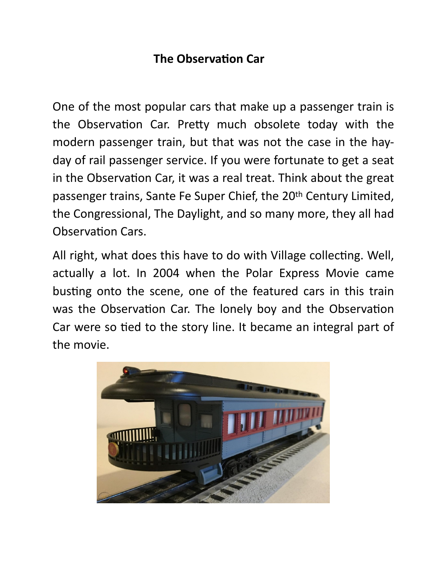## **The Observation Car**

One of the most popular cars that make up a passenger train is the Observation Car. Pretty much obsolete today with the modern passenger train, but that was not the case in the hayday of rail passenger service. If you were fortunate to get a seat in the Observation Car, it was a real treat. Think about the great passenger trains, Sante Fe Super Chief, the 20th Century Limited, the Congressional, The Daylight, and so many more, they all had Observation Cars.

All right, what does this have to do with Village collecting. Well, actually a lot. In 2004 when the Polar Express Movie came busting onto the scene, one of the featured cars in this train was the Observation Car. The lonely boy and the Observation Car were so tied to the story line. It became an integral part of the movie.

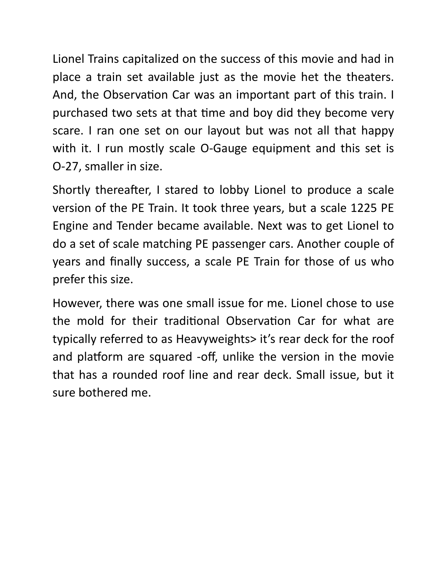Lionel Trains capitalized on the success of this movie and had in place a train set available just as the movie het the theaters. And, the Observation Car was an important part of this train. I purchased two sets at that time and boy did they become very scare. I ran one set on our layout but was not all that happy with it. I run mostly scale O-Gauge equipment and this set is O-27, smaller in size.

Shortly thereafter, I stared to lobby Lionel to produce a scale version of the PE Train. It took three years, but a scale 1225 PE Engine and Tender became available. Next was to get Lionel to do a set of scale matching PE passenger cars. Another couple of years and finally success, a scale PE Train for those of us who prefer this size.

However, there was one small issue for me. Lionel chose to use the mold for their traditional Observation Car for what are typically referred to as Heavyweights> it's rear deck for the roof and platform are squared -off, unlike the version in the movie that has a rounded roof line and rear deck. Small issue, but it sure bothered me.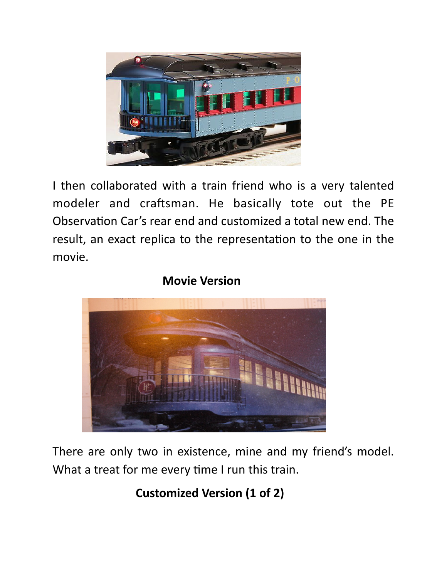

I then collaborated with a train friend who is a very talented modeler and craftsman. He basically tote out the PE Observation Car's rear end and customized a total new end. The result, an exact replica to the representation to the one in the movie.

## **Movie Version**

There are only two in existence, mine and my friend's model. What a treat for me every time I run this train.

 **Customized Version (1 of 2)**